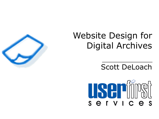## Website Design for Digital Archives

### Scott DeLoach



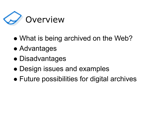

- What is being archived on the Web?
- ⚫ Advantages
- ⚫ Disadvantages
- ⚫ Design issues and examples
- ⚫ Future possibilities for digital archives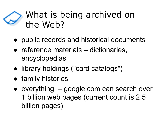## What is being archived on the Web?

- ⚫ public records and historical documents
- ⚫ reference materials dictionaries, encyclopedias
- ⚫ library holdings ("card catalogs")
- family histories
- ⚫ everything! google.com can search over 1 billion web pages (current count is 2.5 billion pages)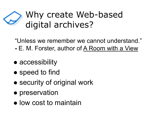## Why create Web-based digital archives?

"Unless we remember we cannot understand."

- **-** E. M. Forster, author of A Room with a View
- accessibility
- speed to find
- security of original work
- preservation
- ⚫ low cost to maintain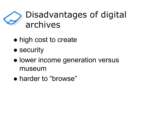## Disadvantages of digital archives

- high cost to create
- security
- ⚫ lower income generation versus museum
- ⚫ harder to "browse"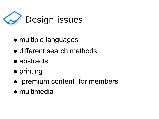

- ⚫ multiple languages
- ⚫ different search methods
- abstracts
- ⚫ printing
- ⚫ "premium content" for members
- ⚫ multimedia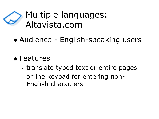## Multiple languages: Altavista.com

- ⚫ Audience English-speaking users
- ⚫ Features
	- translate typed text or entire pages
	- online keypad for entering non-English characters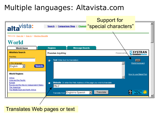### Multiple languages: Altavista.com



#### Translates Web pages or text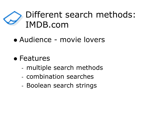## Different search methods: IMDB.com

- ⚫ Audience movie lovers
- ⚫ Features
	- multiple search methods
	- combination searches
	- Boolean search strings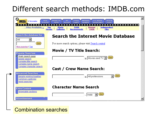### Different search methods: IMDB.com



#### Combination searches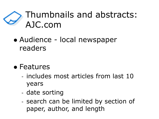## Thumbnails and abstracts: AJC.com

- ⚫ Audience local newspaper readers
- ⚫ Features
	- includes most articles from last 10 years
	- date sorting
	- search can be limited by section of paper, author, and length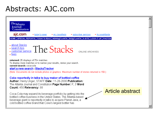#### Abstracts: AJC.com

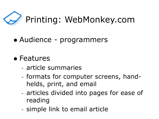

- ⚫ Audience programmers
- ⚫ Features
	- article summaries
	- formats for computer screens, handhelds, print, and email
	- articles divided into pages for ease of reading
	- simple link to email article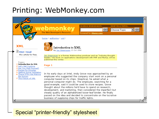### Printing: WebMonkey.com



#### Special "printer-friendly" stylesheet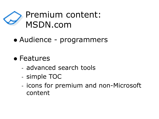

- ⚫ Audience programmers
- ⚫ Features
	- advanced search tools
	- simple TOC
	- icons for premium and non-Microsoft content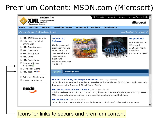### Premium Content: MSDN.com (Microsoft)



#### Icons for links to secure and premium content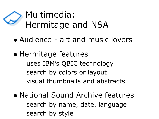

- ⚫ Audience art and music lovers
- ⚫ Hermitage features
	- uses IBM's QBIC technology
	- search by colors or layout
	- visual thumbnails and abstracts
- ⚫ National Sound Archive features
	- search by name, date, language
	- search by style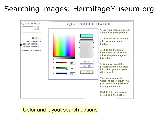### Searching images: HermitageMuseum.org



#### Color and layout search options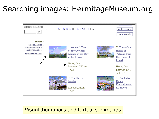### Searching images: HermitageMuseum.org



#### Visual thumbnails and textual summaries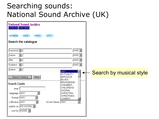### Searching sounds: National Sound Archive (UK)

| <b>National Sound Archive</b><br>CATALOG INFO. DESK                                                                   |                                                                                                       |                         |
|-----------------------------------------------------------------------------------------------------------------------|-------------------------------------------------------------------------------------------------------|-------------------------|
| <b>GO BACK</b><br><b>HELP</b><br><b>PREFS</b>                                                                         | <b>EXIT</b>                                                                                           |                         |
| Search the catalogue                                                                                                  |                                                                                                       |                         |
| keyword  <br>$\blacktriangledown$<br>name<br>$\overline{\phantom{a}}$<br>title<br>$\overline{\phantom{a}}$<br>subject | $AND$ $\vert \mathbf{v} \vert$<br>AND $\blacktriangleright$<br>AND $\Box$<br>AND $\boxed{\mathbf{r}}$ |                         |
| $\blacktriangledown$<br>place<br>Clear<br>Search Catalog                                                              | <b>ANY</b><br><b>ACTUALITY</b><br>BAROQUE                                                             | Search by musical style |
| <b>Search Limits</b>                                                                                                  | <b>BLUES</b><br><b>BRASSBAND</b><br><b>CHAMBER</b>                                                    |                         |
| year:<br>$\overline{\phantom{0}}$<br>language: ANY                                                                    | <b>CHILDRENS</b><br>CHORAL<br><b>CHRISTIAN</b><br><b>CHRISTMAS</b>                                    |                         |
| format: ANY<br>$\vert \mathbf{v} \vert$<br>collection: ANY<br>$\vert \cdot \vert$                                     | <b>COMEDY</b><br>broad classn: ANY                                                                    |                         |
| match on: $K$ EYWORD $\boxed{\bullet}$<br>sort by: NONE $\blacktriangledown$                                          |                                                                                                       |                         |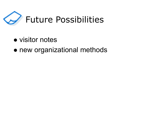

- ⚫ visitor notes
- ⚫ new organizational methods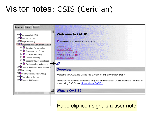## Visitor notes: CSIS (Ceridian)



Paperclip icon signals a user note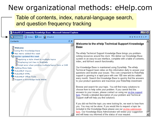### New organizational methods: eHelp.com

Table of contents, index, natural-language search, and question frequency tracking

| RoboHELP Community Knowledge Base - Microsoft Internet Explorer<br>– I⊡I ≻                                                                                                                                                                                                                                                                                         |                                                                                                                                                                                                                                                                                                                                                                                                                                                                                                                                                                  |  |  |
|--------------------------------------------------------------------------------------------------------------------------------------------------------------------------------------------------------------------------------------------------------------------------------------------------------------------------------------------------------------------|------------------------------------------------------------------------------------------------------------------------------------------------------------------------------------------------------------------------------------------------------------------------------------------------------------------------------------------------------------------------------------------------------------------------------------------------------------------------------------------------------------------------------------------------------------------|--|--|
| <b>Ug</b> Contents <b>目</b> Index <b>口</b> Ask <i>C</i> iPredict                                                                                                                                                                                                                                                                                                   | DYNAHELP                                                                                                                                                                                                                                                                                                                                                                                                                                                                                                                                                         |  |  |
| $\phi \times$<br>Contents                                                                                                                                                                                                                                                                                                                                          | Welcome to the eHelp Technical Support Knowledge                                                                                                                                                                                                                                                                                                                                                                                                                                                                                                                 |  |  |
| ? Welcome<br><b>2</b> Using this Knowledge Base<br>$\blacktriangleright$ New items added this week<br>Articles updated this week<br>2 Applying a style sheet to multiple topics<br>2 Displaying List View in Webhelp<br>8 Script error when printing multiple topics from a CHM<br>Getting More Help<br>RoboHELP Classic<br>ROBOHELP HTML<br>RoboHELP Office Tools | <b>Base</b><br>The eHelp Technical Support Knowledge Base brings you problem-<br>solving resources around the clock. We deliver our Knowledge Base<br>system in an easy-to-use interface, complete with a table of contents,<br>index, and full-text search functionality.<br>Our Knowledge Base is maintained using DynaHelp. The eHelp-<br>Technical Support team relies on this information daily to answer your<br>questions and resolve your issues. This core component to RoboHelp<br>support is growing in a rapid pace with over 100 new articles added |  |  |
| <b>2</b> Suggest a Knowledge Base Article                                                                                                                                                                                                                                                                                                                          | every month. Search the Knowledge Base to quickly find the answers<br>to your product questions and maximize your RoboHelp investment.<br>Browse and search for your topic. You will find many solutions to<br>choose from to help solve your problem. If you cannot find the<br>answers to your issues, please contact us using our on-line support<br>form. Provide a detailed description of your problem and Technical<br>Support staff will help you find solutions.                                                                                        |  |  |
|                                                                                                                                                                                                                                                                                                                                                                    | If you did not find the topic you were looking for, we want to hear from<br>you. You may not be alone. If you would like to request a topic be<br>included in the Knowledge Base please use our on-line submission<br>form. Our Knowledge Base Administrator will review your suggestion<br>and will keep you informed of the status of your request.                                                                                                                                                                                                            |  |  |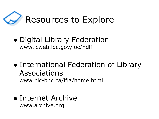

- ⚫ Digital Library Federation www.lcweb.loc.gov/loc/ndlf
- ⚫ International Federation of Library Associations www.nlc-bnc.ca/ifla/home.html
- ⚫ Internet Archive www.archive.org